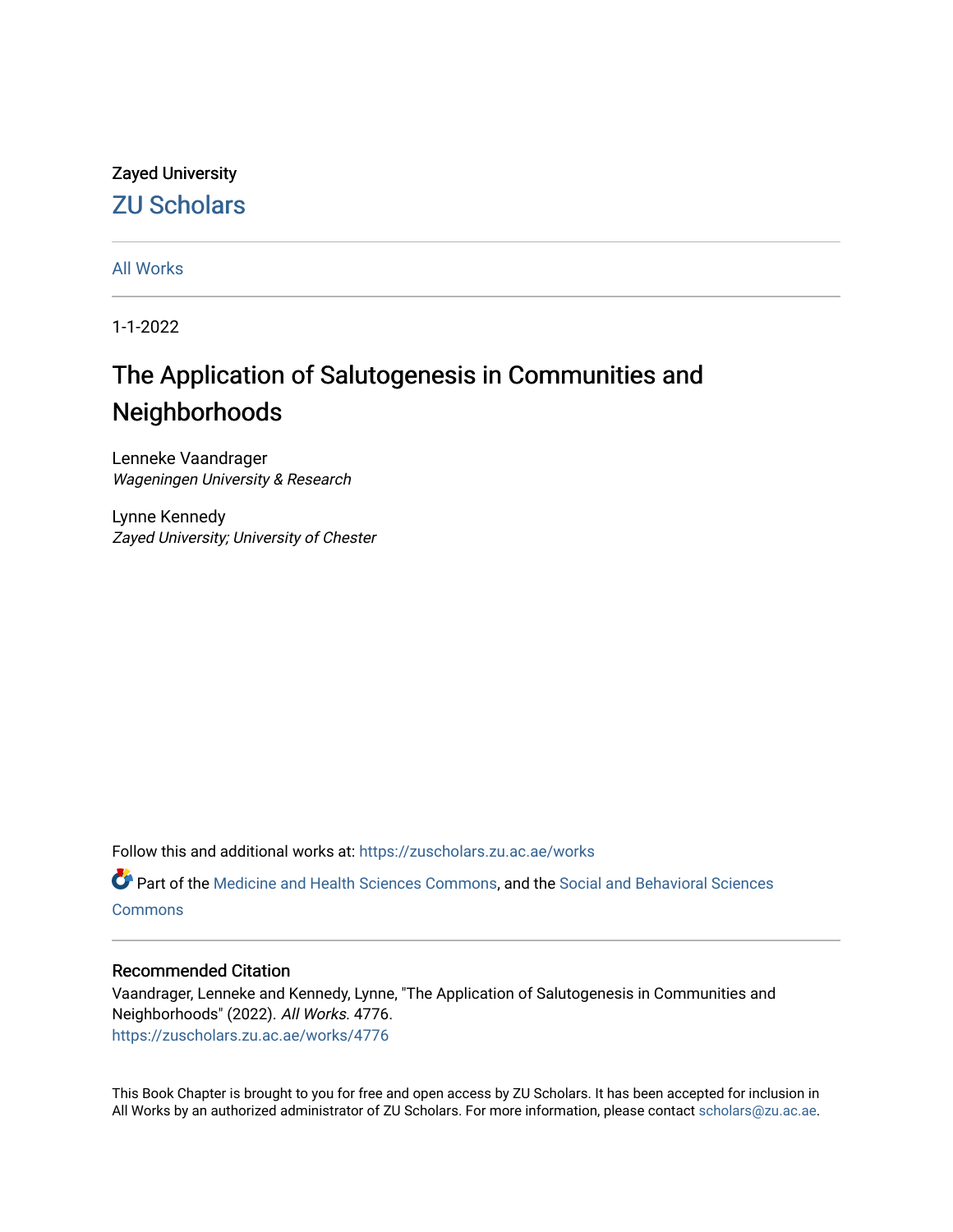# Zayed University [ZU Scholars](https://zuscholars.zu.ac.ae/)

[All Works](https://zuscholars.zu.ac.ae/works)

1-1-2022

# The Application of Salutogenesis in Communities and Neighborhoods

Lenneke Vaandrager Wageningen University & Research

Lynne Kennedy Zayed University; University of Chester

Follow this and additional works at: [https://zuscholars.zu.ac.ae/works](https://zuscholars.zu.ac.ae/works?utm_source=zuscholars.zu.ac.ae%2Fworks%2F4776&utm_medium=PDF&utm_campaign=PDFCoverPages)

Part of the [Medicine and Health Sciences Commons,](http://network.bepress.com/hgg/discipline/648?utm_source=zuscholars.zu.ac.ae%2Fworks%2F4776&utm_medium=PDF&utm_campaign=PDFCoverPages) and the [Social and Behavioral Sciences](http://network.bepress.com/hgg/discipline/316?utm_source=zuscholars.zu.ac.ae%2Fworks%2F4776&utm_medium=PDF&utm_campaign=PDFCoverPages) [Commons](http://network.bepress.com/hgg/discipline/316?utm_source=zuscholars.zu.ac.ae%2Fworks%2F4776&utm_medium=PDF&utm_campaign=PDFCoverPages)

# Recommended Citation

Vaandrager, Lenneke and Kennedy, Lynne, "The Application of Salutogenesis in Communities and Neighborhoods" (2022). All Works. 4776. [https://zuscholars.zu.ac.ae/works/4776](https://zuscholars.zu.ac.ae/works/4776?utm_source=zuscholars.zu.ac.ae%2Fworks%2F4776&utm_medium=PDF&utm_campaign=PDFCoverPages)

This Book Chapter is brought to you for free and open access by ZU Scholars. It has been accepted for inclusion in All Works by an authorized administrator of ZU Scholars. For more information, please contact [scholars@zu.ac.ae.](mailto:scholars@zu.ac.ae)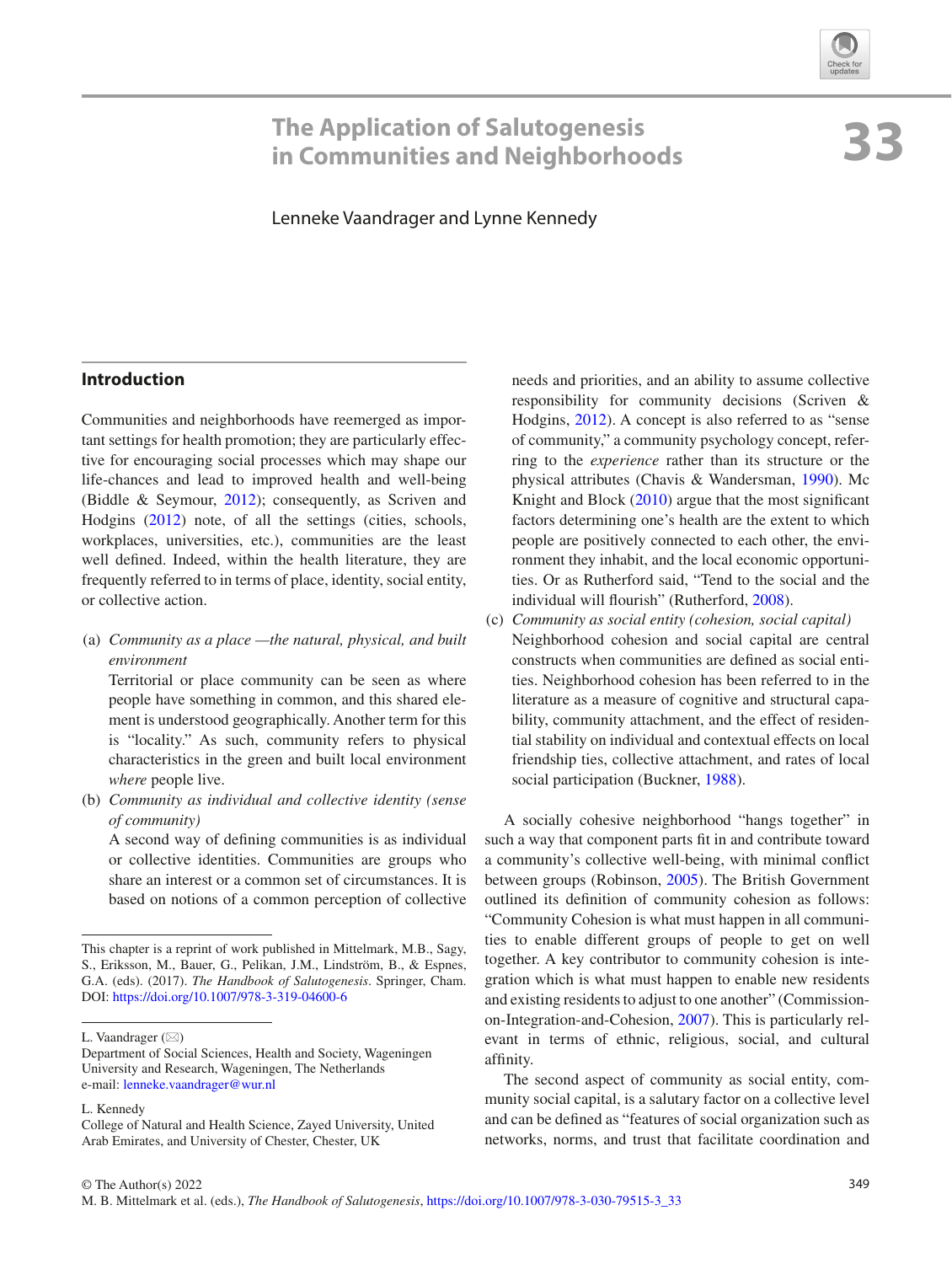# **The Application of Salutogenesis in Communities and Neighborhoods**

Lenneke Vaandrager and Lynne Kennedy

# **Introduction**

Communities and neighborhoods have reemerged as important settings for health promotion; they are particularly effective for encouraging social processes which may shape our life-chances and lead to improved health and well-being (Biddle & Seymour, [2012](#page-9-0)); consequently, as Scriven and Hodgins [\(2012](#page-11-0)) note, of all the settings (cities, schools, workplaces, universities, etc.), communities are the least well defned. Indeed, within the health literature, they are frequently referred to in terms of place, identity, social entity, or collective action.

(a) *Community as a place —the natural, physical, and built environment*

Territorial or place community can be seen as where people have something in common, and this shared element is understood geographically. Another term for this is "locality." As such, community refers to physical characteristics in the green and built local environment *where* people live.

(b) *Community as individual and collective identity (sense of community)*

A second way of defning communities is as individual or collective identities. Communities are groups who share an interest or a common set of circumstances. It is based on notions of a common perception of collective

L. Vaandrager  $(\boxtimes)$ 

L. Kennedy

needs and priorities, and an ability to assume collective responsibility for community decisions (Scriven & Hodgins, [2012\)](#page-11-0). A concept is also referred to as "sense of community," a community psychology concept, referring to the *experience* rather than its structure or the physical attributes (Chavis & Wandersman, [1990](#page-9-1)). Mc Knight and Block ([2010\)](#page-10-0) argue that the most signifcant factors determining one's health are the extent to which people are positively connected to each other, the environment they inhabit, and the local economic opportunities. Or as Rutherford said, "Tend to the social and the individual will fourish" (Rutherford, [2008\)](#page-10-1).

(c) *Community as social entity (cohesion, social capital)* Neighborhood cohesion and social capital are central constructs when communities are defned as social entities. Neighborhood cohesion has been referred to in the literature as a measure of cognitive and structural capability, community attachment, and the effect of residential stability on individual and contextual effects on local friendship ties, collective attachment, and rates of local social participation (Buckner, [1988\)](#page-9-2).

A socially cohesive neighborhood "hangs together" in such a way that component parts ft in and contribute toward a community's collective well-being, with minimal confict between groups (Robinson, [2005](#page-10-2)). The British Government outlined its defnition of community cohesion as follows: "Community Cohesion is what must happen in all communities to enable different groups of people to get on well together. A key contributor to community cohesion is integration which is what must happen to enable new residents and existing residents to adjust to one another" (Commissionon-Integration-and-Cohesion, [2007](#page-10-3)). This is particularly relevant in terms of ethnic, religious, social, and cultural affnity.

The second aspect of community as social entity, community social capital, is a salutary factor on a collective level and can be defned as "features of social organization such as networks, norms, and trust that facilitate coordination and



**33**

 $\degree$  The Author(s) 2022 349 M. B. Mittelmark et al. (eds.), *The Handbook of Salutogenesis*, [https://doi.org/10.1007/978-3-030-79515-3\\_33](https://doi.org/10.1007/978-3-030-79515-3_33#DOI)

This chapter is a reprint of work published in Mittelmark, M.B., Sagy, S., Eriksson, M., Bauer, G., Pelikan, J.M., Lindström, B., & Espnes, G.A. (eds). (2017). *The Handbook of Salutogenesis*. Springer, Cham. DOI: <https://doi.org/10.1007/978-3-319-04600-6>

Department of Social Sciences, Health and Society, Wageningen University and Research, Wageningen, The Netherlands e-mail[: lenneke.vaandrager@wur.nl](mailto:lenneke.vaandrager@wur.nl)

College of Natural and Health Science, Zayed University, United Arab Emirates, and University of Chester, Chester, UK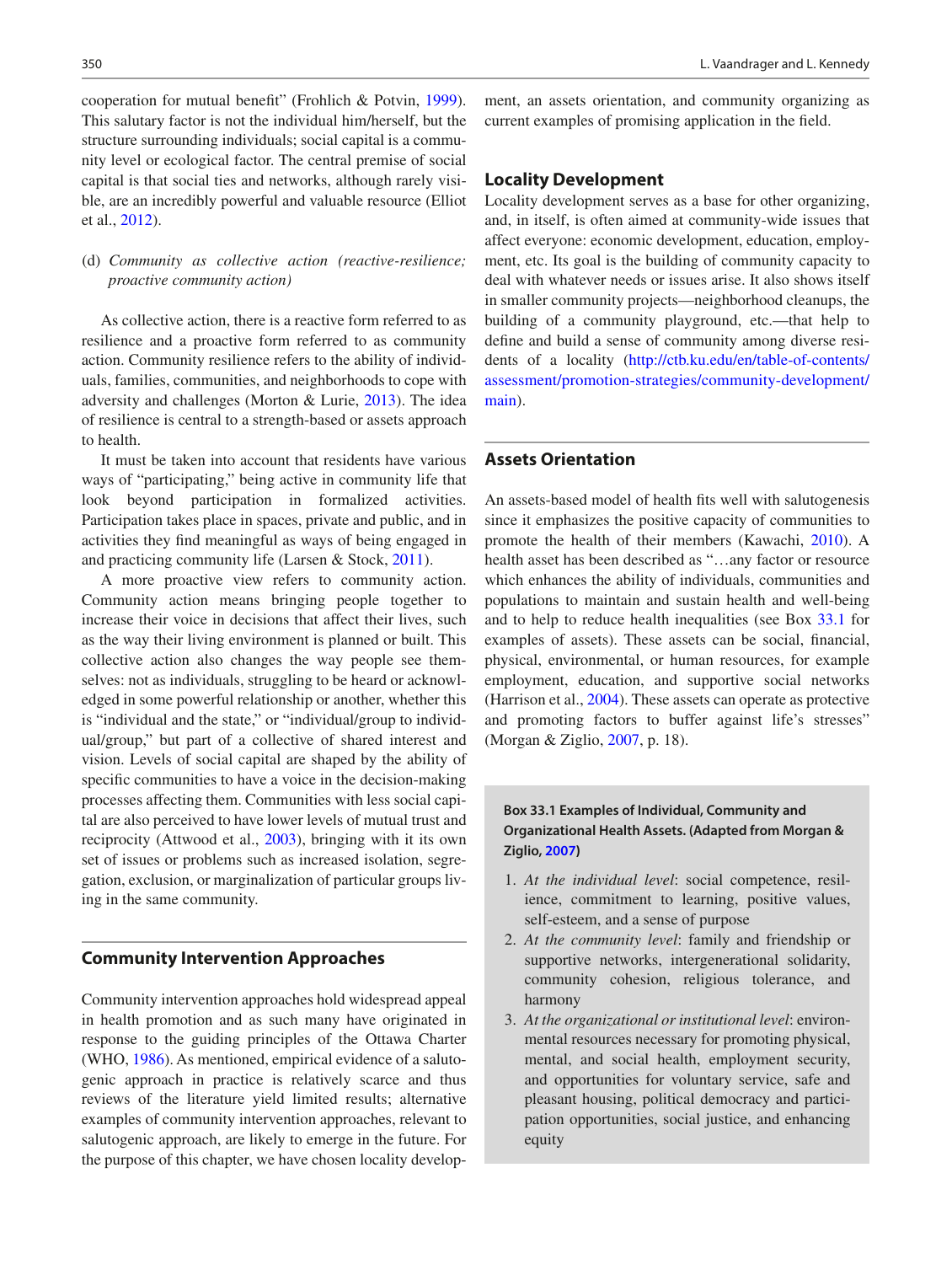cooperation for mutual beneft" (Frohlich & Potvin, [1999](#page-10-4)). This salutary factor is not the individual him/herself, but the structure surrounding individuals; social capital is a community level or ecological factor. The central premise of social capital is that social ties and networks, although rarely visible, are an incredibly powerful and valuable resource (Elliot et al., [2012](#page-10-5)).

#### (d) *Community as collective action (reactive-resilience; proactive community action)*

As collective action, there is a reactive form referred to as resilience and a proactive form referred to as community action. Community resilience refers to the ability of individuals, families, communities, and neighborhoods to cope with adversity and challenges (Morton & Lurie, [2013\)](#page-10-6). The idea of resilience is central to a strength-based or assets approach to health.

It must be taken into account that residents have various ways of "participating," being active in community life that look beyond participation in formalized activities. Participation takes place in spaces, private and public, and in activities they fnd meaningful as ways of being engaged in and practicing community life (Larsen & Stock, [2011](#page-10-7)).

A more proactive view refers to community action. Community action means bringing people together to increase their voice in decisions that affect their lives, such as the way their living environment is planned or built. This collective action also changes the way people see themselves: not as individuals, struggling to be heard or acknowledged in some powerful relationship or another, whether this is "individual and the state," or "individual/group to individual/group," but part of a collective of shared interest and vision. Levels of social capital are shaped by the ability of specific communities to have a voice in the decision-making processes affecting them. Communities with less social capital are also perceived to have lower levels of mutual trust and reciprocity (Attwood et al., [2003\)](#page-9-3), bringing with it its own set of issues or problems such as increased isolation, segregation, exclusion, or marginalization of particular groups living in the same community.

#### **Community Intervention Approaches**

Community intervention approaches hold widespread appeal in health promotion and as such many have originated in response to the guiding principles of the Ottawa Charter (WHO, [1986\)](#page-11-1). As mentioned, empirical evidence of a salutogenic approach in practice is relatively scarce and thus reviews of the literature yield limited results; alternative examples of community intervention approaches, relevant to salutogenic approach, are likely to emerge in the future. For the purpose of this chapter, we have chosen locality develop-

ment, an assets orientation, and community organizing as current examples of promising application in the feld.

#### **Locality Development**

Locality development serves as a base for other organizing, and, in itself, is often aimed at community-wide issues that affect everyone: economic development, education, employment, etc. Its goal is the building of community capacity to deal with whatever needs or issues arise. It also shows itself in smaller community projects—neighborhood cleanups, the building of a community playground, etc.—that help to defne and build a sense of community among diverse residents of a locality ([http://ctb.ku.edu/en/table-of-contents/](http://ctb.ku.edu/en/table-of-contents/assessment/promotion-strategies/community-development/main) [assessment/promotion-strategies/community-development/](http://ctb.ku.edu/en/table-of-contents/assessment/promotion-strategies/community-development/main) [main](http://ctb.ku.edu/en/table-of-contents/assessment/promotion-strategies/community-development/main)).

## **Assets Orientation**

An assets-based model of health fts well with salutogenesis since it emphasizes the positive capacity of communities to promote the health of their members (Kawachi, [2010\)](#page-10-8). A health asset has been described as "…any factor or resource which enhances the ability of individuals, communities and populations to maintain and sustain health and well-being and to help to reduce health inequalities (see Box [33.1](#page-2-0) for examples of assets). These assets can be social, fnancial, physical, environmental, or human resources, for example employment, education, and supportive social networks (Harrison et al., [2004](#page-10-9)). These assets can operate as protective and promoting factors to buffer against life's stresses" (Morgan & Ziglio, [2007](#page-10-10), p. 18).

# <span id="page-2-0"></span>**Box 33.1 Examples of Individual, Community and Organizational Health Assets. (Adapted from Morgan & Ziglio, [2007](#page-10-10))**

- 1. *At the individual level*: social competence, resilience, commitment to learning, positive values, self-esteem, and a sense of purpose
- 2. *At the community level*: family and friendship or supportive networks, intergenerational solidarity, community cohesion, religious tolerance, and harmony
- 3. *At the organizational or institutional level*: environmental resources necessary for promoting physical, mental, and social health, employment security, and opportunities for voluntary service, safe and pleasant housing, political democracy and participation opportunities, social justice, and enhancing equity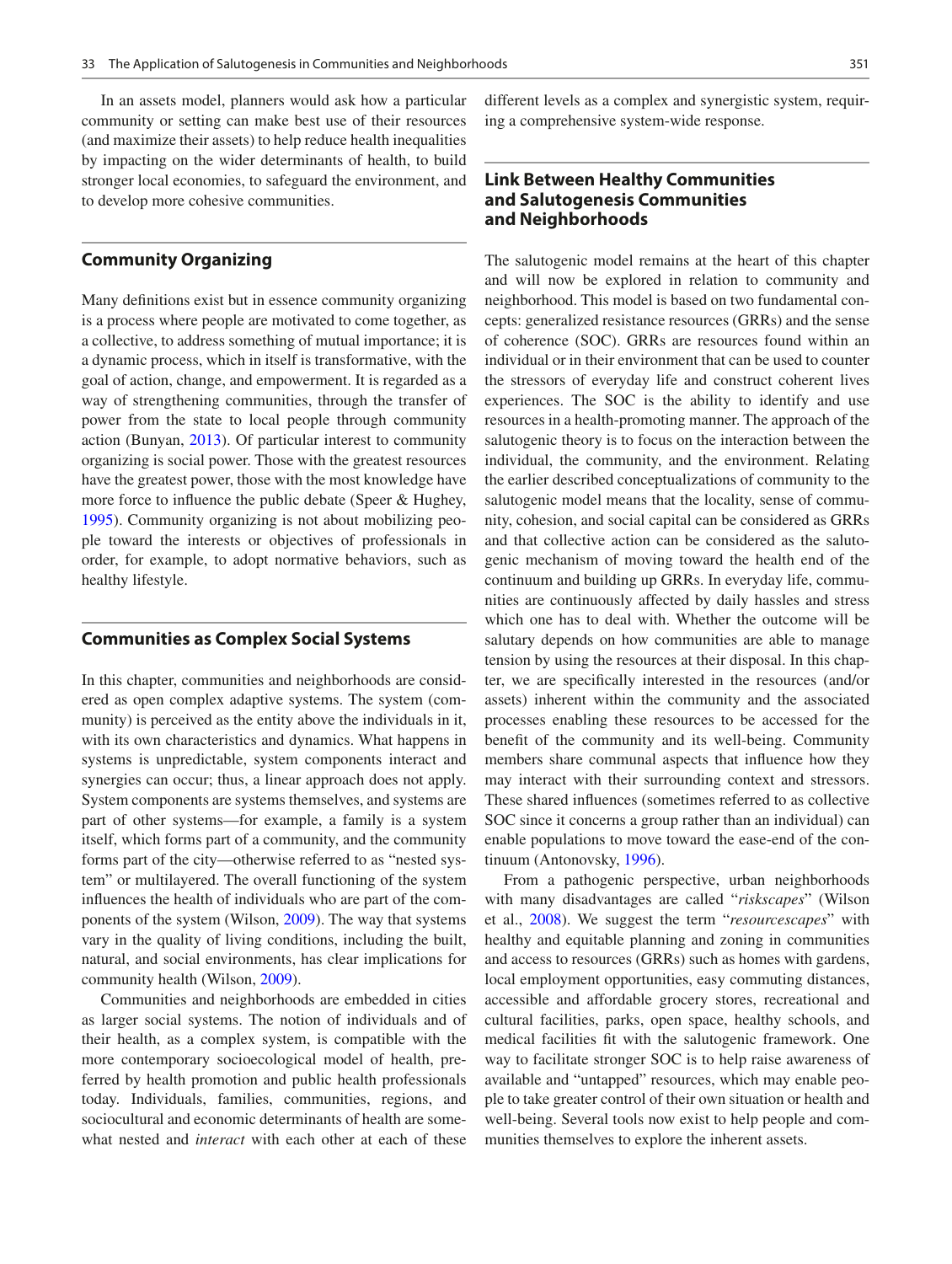In an assets model, planners would ask how a particular community or setting can make best use of their resources (and maximize their assets) to help reduce health inequalities by impacting on the wider determinants of health, to build stronger local economies, to safeguard the environment, and to develop more cohesive communities.

# **Community Organizing**

Many defnitions exist but in essence community organizing is a process where people are motivated to come together, as a collective, to address something of mutual importance; it is a dynamic process, which in itself is transformative, with the goal of action, change, and empowerment. It is regarded as a way of strengthening communities, through the transfer of power from the state to local people through community action (Bunyan, [2013\)](#page-9-4). Of particular interest to community organizing is social power. Those with the greatest resources have the greatest power, those with the most knowledge have more force to infuence the public debate (Speer & Hughey, [1995](#page-11-2)). Community organizing is not about mobilizing people toward the interests or objectives of professionals in order, for example, to adopt normative behaviors, such as healthy lifestyle.

#### **Communities as Complex Social Systems**

In this chapter, communities and neighborhoods are considered as open complex adaptive systems. The system (community) is perceived as the entity above the individuals in it, with its own characteristics and dynamics. What happens in systems is unpredictable, system components interact and synergies can occur; thus, a linear approach does not apply. System components are systems themselves, and systems are part of other systems—for example, a family is a system itself, which forms part of a community, and the community forms part of the city—otherwise referred to as "nested system" or multilayered. The overall functioning of the system infuences the health of individuals who are part of the components of the system (Wilson, [2009](#page-11-3)). The way that systems vary in the quality of living conditions, including the built, natural, and social environments, has clear implications for community health (Wilson, [2009\)](#page-11-3).

Communities and neighborhoods are embedded in cities as larger social systems. The notion of individuals and of their health, as a complex system, is compatible with the more contemporary socioecological model of health, preferred by health promotion and public health professionals today. Individuals, families, communities, regions, and sociocultural and economic determinants of health are somewhat nested and *interact* with each other at each of these

different levels as a complex and synergistic system, requiring a comprehensive system-wide response.

# **Link Between Healthy Communities and Salutogenesis Communities and Neighborhoods**

The salutogenic model remains at the heart of this chapter and will now be explored in relation to community and neighborhood. This model is based on two fundamental concepts: generalized resistance resources (GRRs) and the sense of coherence (SOC). GRRs are resources found within an individual or in their environment that can be used to counter the stressors of everyday life and construct coherent lives experiences. The SOC is the ability to identify and use resources in a health-promoting manner. The approach of the salutogenic theory is to focus on the interaction between the individual, the community, and the environment. Relating the earlier described conceptualizations of community to the salutogenic model means that the locality, sense of community, cohesion, and social capital can be considered as GRRs and that collective action can be considered as the salutogenic mechanism of moving toward the health end of the continuum and building up GRRs. In everyday life, communities are continuously affected by daily hassles and stress which one has to deal with. Whether the outcome will be salutary depends on how communities are able to manage tension by using the resources at their disposal. In this chapter, we are specifcally interested in the resources (and/or assets) inherent within the community and the associated processes enabling these resources to be accessed for the beneft of the community and its well-being. Community members share communal aspects that infuence how they may interact with their surrounding context and stressors. These shared infuences (sometimes referred to as collective SOC since it concerns a group rather than an individual) can enable populations to move toward the ease-end of the continuum (Antonovsky, [1996](#page-9-5)).

From a pathogenic perspective, urban neighborhoods with many disadvantages are called "*riskscapes*" (Wilson et al., [2008](#page-11-4)). We suggest the term "*resourcescapes*" with healthy and equitable planning and zoning in communities and access to resources (GRRs) such as homes with gardens, local employment opportunities, easy commuting distances, accessible and affordable grocery stores, recreational and cultural facilities, parks, open space, healthy schools, and medical facilities ft with the salutogenic framework. One way to facilitate stronger SOC is to help raise awareness of available and "untapped" resources, which may enable people to take greater control of their own situation or health and well-being. Several tools now exist to help people and communities themselves to explore the inherent assets.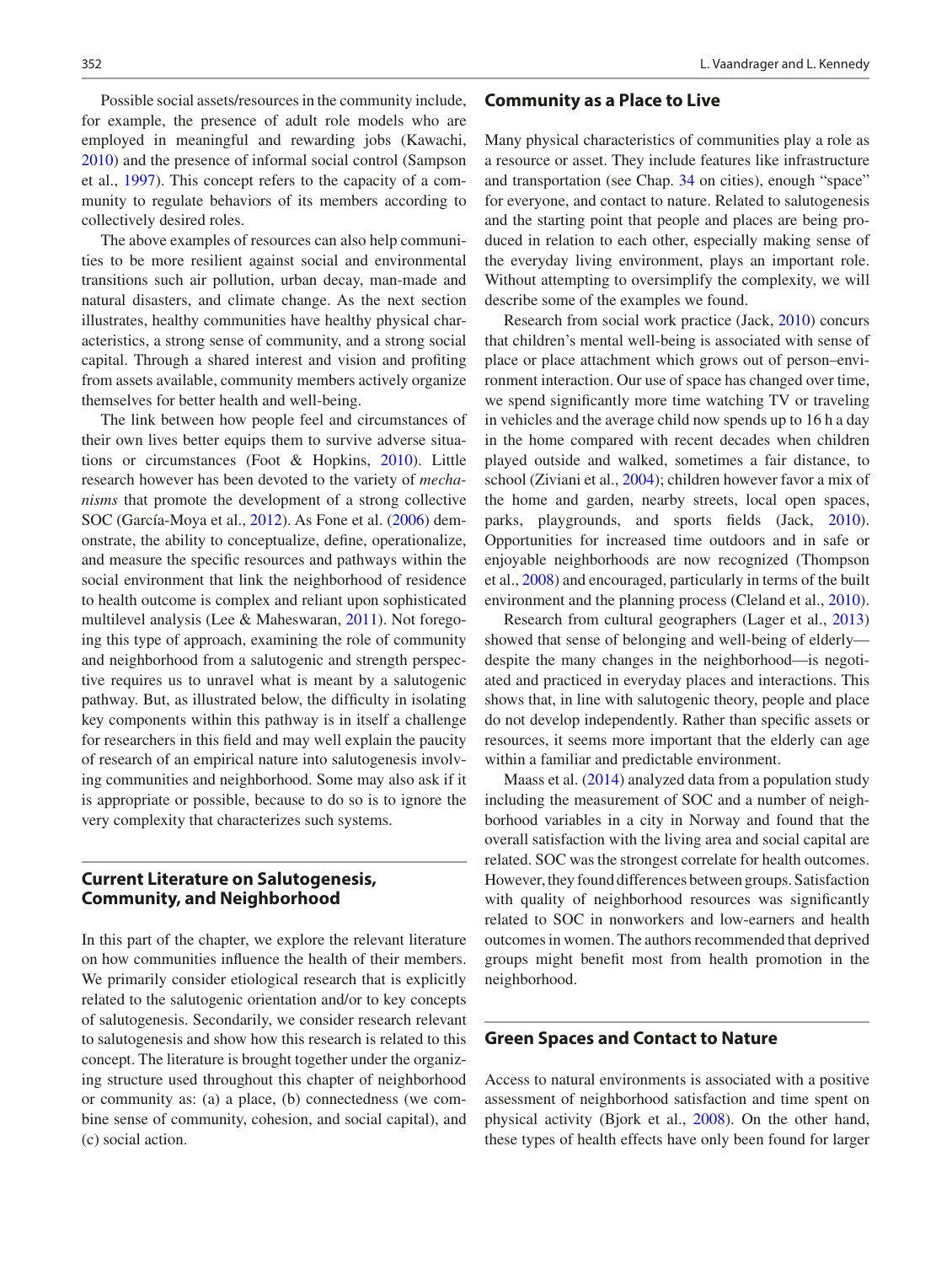Possible social assets/resources in the community include, for example, the presence of adult role models who are employed in meaningful and rewarding jobs (Kawachi, [2010](#page-10-8)) and the presence of informal social control (Sampson et al., [1997](#page-11-5)). This concept refers to the capacity of a community to regulate behaviors of its members according to collectively desired roles.

The above examples of resources can also help communities to be more resilient against social and environmental transitions such air pollution, urban decay, man-made and natural disasters, and climate change. As the next section illustrates, healthy communities have healthy physical characteristics, a strong sense of community, and a strong social capital. Through a shared interest and vision and profting from assets available, community members actively organize themselves for better health and well-being.

The link between how people feel and circumstances of their own lives better equips them to survive adverse situations or circumstances (Foot & Hopkins, [2010](#page-10-11)). Little research however has been devoted to the variety of *mechanisms* that promote the development of a strong collective SOC (García-Moya et al., [2012\)](#page-10-12). As Fone et al. ([2006\)](#page-10-13) demonstrate, the ability to conceptualize, defne, operationalize, and measure the specifc resources and pathways within the social environment that link the neighborhood of residence to health outcome is complex and reliant upon sophisticated multilevel analysis (Lee & Maheswaran, [2011](#page-10-14)). Not foregoing this type of approach, examining the role of community and neighborhood from a salutogenic and strength perspective requires us to unravel what is meant by a salutogenic pathway. But, as illustrated below, the difficulty in isolating key components within this pathway is in itself a challenge for researchers in this feld and may well explain the paucity of research of an empirical nature into salutogenesis involving communities and neighborhood. Some may also ask if it is appropriate or possible, because to do so is to ignore the very complexity that characterizes such systems.

# **Current Literature on Salutogenesis, Community, and Neighborhood**

In this part of the chapter, we explore the relevant literature on how communities infuence the health of their members. We primarily consider etiological research that is explicitly related to the salutogenic orientation and/or to key concepts of salutogenesis. Secondarily, we consider research relevant to salutogenesis and show how this research is related to this concept. The literature is brought together under the organizing structure used throughout this chapter of neighborhood or community as: (a) a place, (b) connectedness (we combine sense of community, cohesion, and social capital), and (c) social action.

#### **Community as a Place to Live**

Many physical characteristics of communities play a role as a resource or asset. They include features like infrastructure and transportation (see Chap. [34](https://doi.org/10.1007/978-3-030-79515-3_34) on cities), enough "space" for everyone, and contact to nature. Related to salutogenesis and the starting point that people and places are being produced in relation to each other, especially making sense of the everyday living environment, plays an important role. Without attempting to oversimplify the complexity, we will describe some of the examples we found.

Research from social work practice (Jack, [2010](#page-10-15)) concurs that children's mental well-being is associated with sense of place or place attachment which grows out of person–environment interaction. Our use of space has changed over time, we spend signifcantly more time watching TV or traveling in vehicles and the average child now spends up to 16 h a day in the home compared with recent decades when children played outside and walked, sometimes a fair distance, to school (Ziviani et al., [2004\)](#page-11-6); children however favor a mix of the home and garden, nearby streets, local open spaces, parks, playgrounds, and sports felds (Jack, [2010](#page-10-15)). Opportunities for increased time outdoors and in safe or enjoyable neighborhoods are now recognized (Thompson et al., [2008\)](#page-11-7) and encouraged, particularly in terms of the built environment and the planning process (Cleland et al., [2010](#page-9-6)).

Research from cultural geographers (Lager et al., [2013\)](#page-10-16) showed that sense of belonging and well-being of elderly despite the many changes in the neighborhood—is negotiated and practiced in everyday places and interactions. This shows that, in line with salutogenic theory, people and place do not develop independently. Rather than specifc assets or resources, it seems more important that the elderly can age within a familiar and predictable environment.

Maass et al. ([2014\)](#page-10-17) analyzed data from a population study including the measurement of SOC and a number of neighborhood variables in a city in Norway and found that the overall satisfaction with the living area and social capital are related. SOC was the strongest correlate for health outcomes. However, they found differences between groups. Satisfaction with quality of neighborhood resources was significantly related to SOC in nonworkers and low-earners and health outcomes in women. The authors recommended that deprived groups might beneft most from health promotion in the neighborhood.

#### **Green Spaces and Contact to Nature**

Access to natural environments is associated with a positive assessment of neighborhood satisfaction and time spent on physical activity (Bjork et al., [2008\)](#page-9-7). On the other hand, these types of health effects have only been found for larger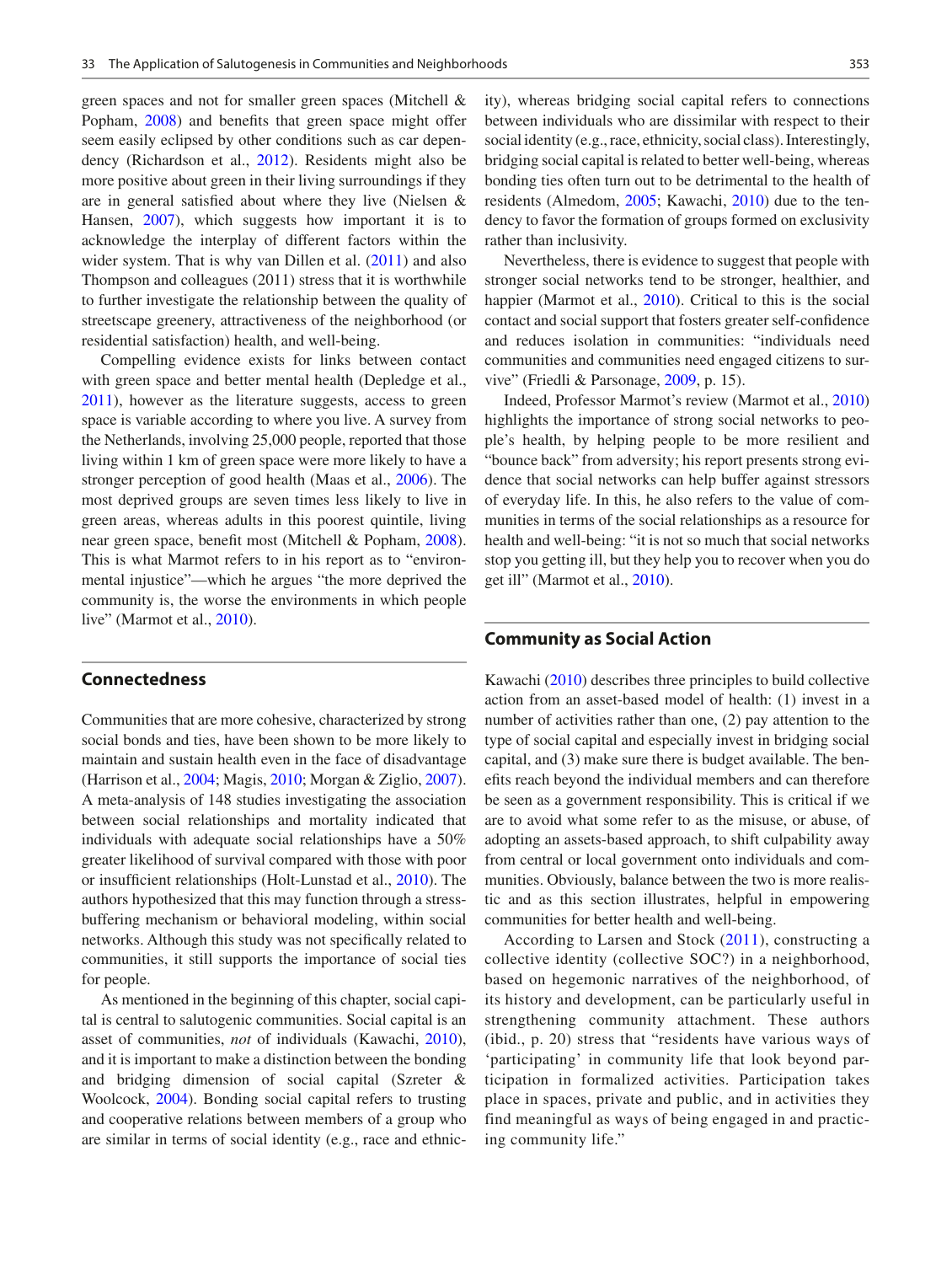green spaces and not for smaller green spaces (Mitchell & Popham, [2008\)](#page-10-18) and benefts that green space might offer seem easily eclipsed by other conditions such as car dependency (Richardson et al., [2012\)](#page-10-19). Residents might also be more positive about green in their living surroundings if they are in general satisfed about where they live (Nielsen & Hansen, [2007\)](#page-10-20), which suggests how important it is to acknowledge the interplay of different factors within the wider system. That is why van Dillen et al. [\(2011](#page-11-8)) and also Thompson and colleagues (2011) stress that it is worthwhile to further investigate the relationship between the quality of streetscape greenery, attractiveness of the neighborhood (or residential satisfaction) health, and well-being.

Compelling evidence exists for links between contact with green space and better mental health (Depledge et al., [2011](#page-10-21)), however as the literature suggests, access to green space is variable according to where you live. A survey from the Netherlands, involving 25,000 people, reported that those living within 1 km of green space were more likely to have a stronger perception of good health (Maas et al., [2006\)](#page-10-22). The most deprived groups are seven times less likely to live in green areas, whereas adults in this poorest quintile, living near green space, beneft most (Mitchell & Popham, [2008](#page-10-18)). This is what Marmot refers to in his report as to "environmental injustice"—which he argues "the more deprived the community is, the worse the environments in which people live" (Marmot et al., [2010](#page-10-23)).

#### **Connectedness**

Communities that are more cohesive, characterized by strong social bonds and ties, have been shown to be more likely to maintain and sustain health even in the face of disadvantage (Harrison et al., [2004;](#page-10-9) Magis, [2010](#page-10-24); Morgan & Ziglio, [2007](#page-10-10)). A meta-analysis of 148 studies investigating the association between social relationships and mortality indicated that individuals with adequate social relationships have a 50% greater likelihood of survival compared with those with poor or insuffcient relationships (Holt-Lunstad et al., [2010\)](#page-10-25). The authors hypothesized that this may function through a stressbuffering mechanism or behavioral modeling, within social networks. Although this study was not specifcally related to communities, it still supports the importance of social ties for people.

As mentioned in the beginning of this chapter, social capital is central to salutogenic communities. Social capital is an asset of communities, *not* of individuals (Kawachi, [2010](#page-10-8)), and it is important to make a distinction between the bonding and bridging dimension of social capital (Szreter & Woolcock, [2004\)](#page-11-9). Bonding social capital refers to trusting and cooperative relations between members of a group who are similar in terms of social identity (e.g., race and ethnicity), whereas bridging social capital refers to connections between individuals who are dissimilar with respect to their social identity (e.g., race, ethnicity, social class). Interestingly, bridging social capital is related to better well-being, whereas bonding ties often turn out to be detrimental to the health of residents (Almedom, [2005](#page-9-8); Kawachi, [2010](#page-10-8)) due to the tendency to favor the formation of groups formed on exclusivity rather than inclusivity.

Nevertheless, there is evidence to suggest that people with stronger social networks tend to be stronger, healthier, and happier (Marmot et al., [2010\)](#page-10-23). Critical to this is the social contact and social support that fosters greater self-confdence and reduces isolation in communities: "individuals need communities and communities need engaged citizens to survive" (Friedli & Parsonage, [2009,](#page-10-26) p. 15).

Indeed, Professor Marmot's review (Marmot et al., [2010\)](#page-10-23) highlights the importance of strong social networks to people's health, by helping people to be more resilient and "bounce back" from adversity; his report presents strong evidence that social networks can help buffer against stressors of everyday life. In this, he also refers to the value of communities in terms of the social relationships as a resource for health and well-being: "it is not so much that social networks stop you getting ill, but they help you to recover when you do get ill" (Marmot et al., [2010\)](#page-10-23).

### **Community as Social Action**

Kawachi [\(2010](#page-10-8)) describes three principles to build collective action from an asset-based model of health: (1) invest in a number of activities rather than one, (2) pay attention to the type of social capital and especially invest in bridging social capital, and (3) make sure there is budget available. The benefts reach beyond the individual members and can therefore be seen as a government responsibility. This is critical if we are to avoid what some refer to as the misuse, or abuse, of adopting an assets-based approach, to shift culpability away from central or local government onto individuals and communities. Obviously, balance between the two is more realistic and as this section illustrates, helpful in empowering communities for better health and well-being.

According to Larsen and Stock ([2011](#page-10-7)), constructing a collective identity (collective SOC?) in a neighborhood, based on hegemonic narratives of the neighborhood, of its history and development, can be particularly useful in strengthening community attachment. These authors (ibid., p. 20) stress that "residents have various ways of 'participating' in community life that look beyond participation in formalized activities. Participation takes place in spaces, private and public, and in activities they find meaningful as ways of being engaged in and practicing community life."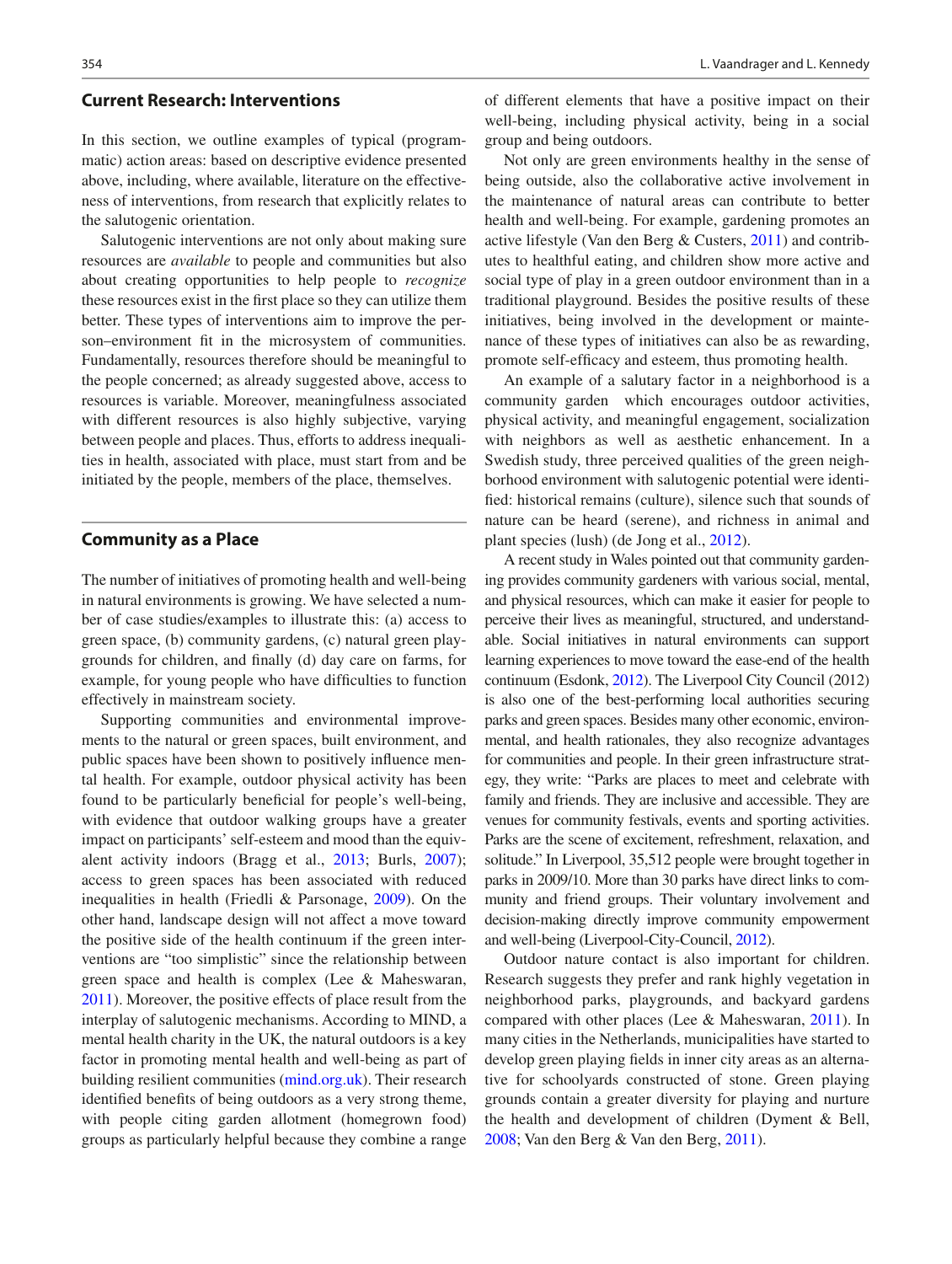### **Current Research: Interventions**

In this section, we outline examples of typical (programmatic) action areas: based on descriptive evidence presented above, including, where available, literature on the effectiveness of interventions, from research that explicitly relates to the salutogenic orientation.

Salutogenic interventions are not only about making sure resources are *available* to people and communities but also about creating opportunities to help people to *recognize* these resources exist in the frst place so they can utilize them better. These types of interventions aim to improve the person–environment fit in the microsystem of communities. Fundamentally, resources therefore should be meaningful to the people concerned; as already suggested above, access to resources is variable. Moreover, meaningfulness associated with different resources is also highly subjective, varying between people and places. Thus, efforts to address inequalities in health, associated with place, must start from and be initiated by the people, members of the place, themselves.

#### **Community as a Place**

The number of initiatives of promoting health and well-being in natural environments is growing. We have selected a number of case studies/examples to illustrate this: (a) access to green space, (b) community gardens, (c) natural green playgrounds for children, and fnally (d) day care on farms, for example, for young people who have difficulties to function effectively in mainstream society.

Supporting communities and environmental improvements to the natural or green spaces, built environment, and public spaces have been shown to positively infuence mental health. For example, outdoor physical activity has been found to be particularly benefcial for people's well-being, with evidence that outdoor walking groups have a greater impact on participants' self-esteem and mood than the equivalent activity indoors (Bragg et al., [2013;](#page-9-9) Burls, [2007\)](#page-9-10); access to green spaces has been associated with reduced inequalities in health (Friedli & Parsonage, [2009\)](#page-10-26). On the other hand, landscape design will not affect a move toward the positive side of the health continuum if the green interventions are "too simplistic" since the relationship between green space and health is complex (Lee & Maheswaran, [2011](#page-10-14)). Moreover, the positive effects of place result from the interplay of salutogenic mechanisms. According to MIND, a mental health charity in the UK, the natural outdoors is a key factor in promoting mental health and well-being as part of building resilient communities [\(mind.org.uk\)](http://mind.org.uk). Their research identifed benefts of being outdoors as a very strong theme, with people citing garden allotment (homegrown food) groups as particularly helpful because they combine a range

of different elements that have a positive impact on their well-being, including physical activity, being in a social group and being outdoors.

Not only are green environments healthy in the sense of being outside, also the collaborative active involvement in the maintenance of natural areas can contribute to better health and well-being. For example, gardening promotes an active lifestyle (Van den Berg & Custers, [2011\)](#page-11-10) and contributes to healthful eating, and children show more active and social type of play in a green outdoor environment than in a traditional playground. Besides the positive results of these initiatives, being involved in the development or maintenance of these types of initiatives can also be as rewarding, promote self-effcacy and esteem, thus promoting health.

An example of a salutary factor in a neighborhood is a community garden which encourages outdoor activities, physical activity, and meaningful engagement, socialization with neighbors as well as aesthetic enhancement. In a Swedish study, three perceived qualities of the green neighborhood environment with salutogenic potential were identifed: historical remains (culture), silence such that sounds of nature can be heard (serene), and richness in animal and plant species (lush) (de Jong et al., [2012](#page-10-27)).

A recent study in Wales pointed out that community gardening provides community gardeners with various social, mental, and physical resources, which can make it easier for people to perceive their lives as meaningful, structured, and understandable. Social initiatives in natural environments can support learning experiences to move toward the ease-end of the health continuum (Esdonk, [2012](#page-10-28)). The Liverpool City Council (2012) is also one of the best-performing local authorities securing parks and green spaces. Besides many other economic, environmental, and health rationales, they also recognize advantages for communities and people. In their green infrastructure strategy, they write: "Parks are places to meet and celebrate with family and friends. They are inclusive and accessible. They are venues for community festivals, events and sporting activities. Parks are the scene of excitement, refreshment, relaxation, and solitude." In Liverpool, 35,512 people were brought together in parks in 2009/10. More than 30 parks have direct links to community and friend groups. Their voluntary involvement and decision-making directly improve community empowerment and well-being (Liverpool-City-Council, [2012\)](#page-10-29).

Outdoor nature contact is also important for children. Research suggests they prefer and rank highly vegetation in neighborhood parks, playgrounds, and backyard gardens compared with other places (Lee & Maheswaran, [2011](#page-10-14)). In many cities in the Netherlands, municipalities have started to develop green playing felds in inner city areas as an alternative for schoolyards constructed of stone. Green playing grounds contain a greater diversity for playing and nurture the health and development of children (Dyment & Bell, [2008](#page-10-30); Van den Berg & Van den Berg, [2011\)](#page-11-11).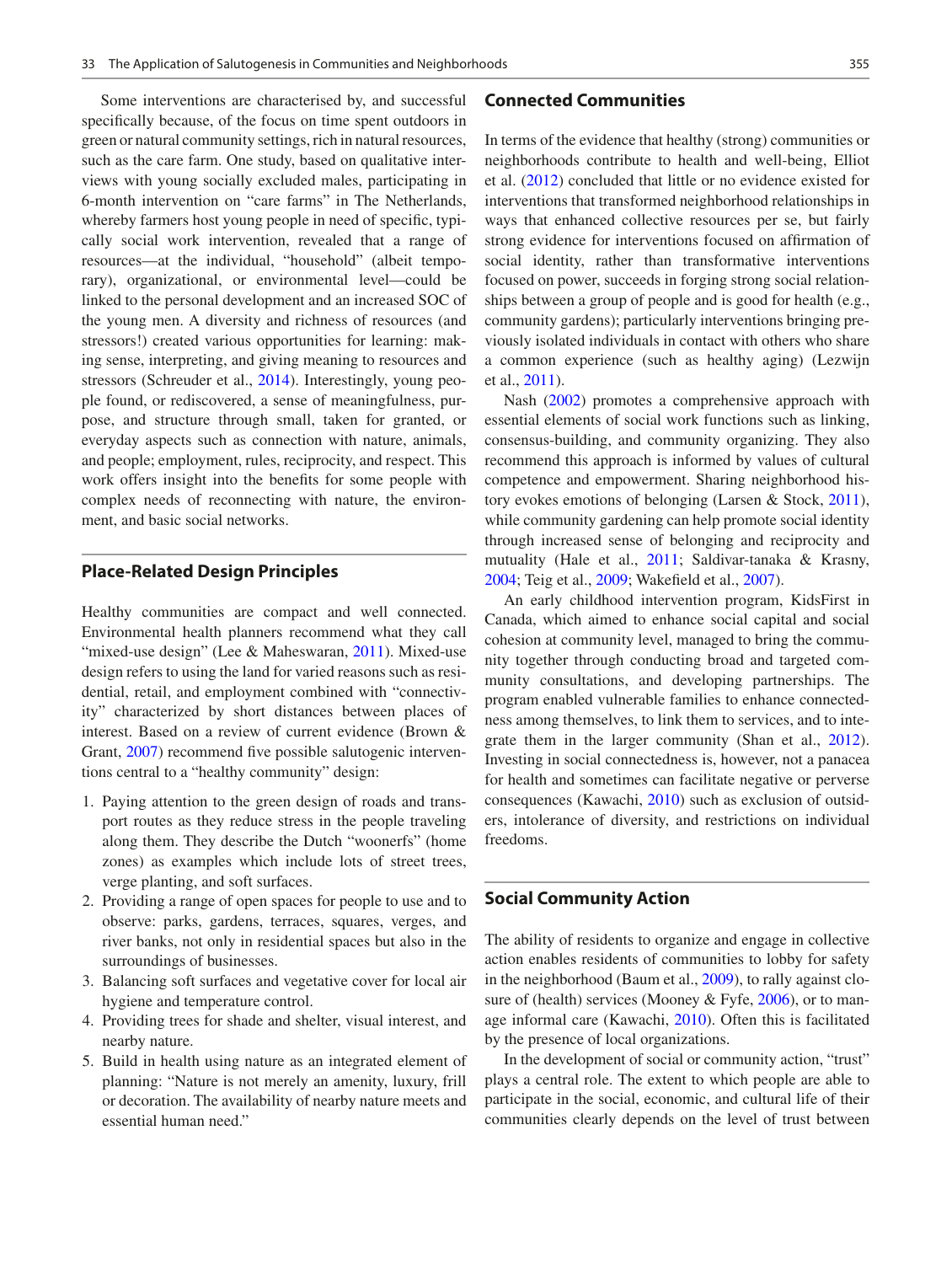Some interventions are characterised by, and successful specifcally because, of the focus on time spent outdoors in green or natural community settings, rich in natural resources, such as the care farm. One study, based on qualitative interviews with young socially excluded males, participating in 6-month intervention on "care farms" in The Netherlands, whereby farmers host young people in need of specifc, typically social work intervention, revealed that a range of resources—at the individual, "household" (albeit temporary), organizational, or environmental level—could be linked to the personal development and an increased SOC of the young men. A diversity and richness of resources (and stressors!) created various opportunities for learning: making sense, interpreting, and giving meaning to resources and stressors (Schreuder et al., [2014](#page-11-12)). Interestingly, young people found, or rediscovered, a sense of meaningfulness, purpose, and structure through small, taken for granted, or everyday aspects such as connection with nature, animals, and people; employment, rules, reciprocity, and respect. This work offers insight into the benefts for some people with complex needs of reconnecting with nature, the environment, and basic social networks.

#### **Place-Related Design Principles**

Healthy communities are compact and well connected. Environmental health planners recommend what they call "mixed-use design" (Lee & Maheswaran, [2011\)](#page-10-14). Mixed-use design refers to using the land for varied reasons such as residential, retail, and employment combined with "connectivity" characterized by short distances between places of interest. Based on a review of current evidence (Brown & Grant, [2007\)](#page-9-11) recommend fve possible salutogenic interventions central to a "healthy community" design:

- 1. Paying attention to the green design of roads and transport routes as they reduce stress in the people traveling along them. They describe the Dutch "woonerfs" (home zones) as examples which include lots of street trees, verge planting, and soft surfaces.
- 2. Providing a range of open spaces for people to use and to observe: parks, gardens, terraces, squares, verges, and river banks, not only in residential spaces but also in the surroundings of businesses.
- 3. Balancing soft surfaces and vegetative cover for local air hygiene and temperature control.
- 4. Providing trees for shade and shelter, visual interest, and nearby nature.
- 5. Build in health using nature as an integrated element of planning: "Nature is not merely an amenity, luxury, frill or decoration. The availability of nearby nature meets and essential human need."

#### **Connected Communities**

In terms of the evidence that healthy (strong) communities or neighborhoods contribute to health and well-being, Elliot et al. [\(2012](#page-10-5)) concluded that little or no evidence existed for interventions that transformed neighborhood relationships in ways that enhanced collective resources per se, but fairly strong evidence for interventions focused on affrmation of social identity, rather than transformative interventions focused on power, succeeds in forging strong social relationships between a group of people and is good for health (e.g., community gardens); particularly interventions bringing previously isolated individuals in contact with others who share a common experience (such as healthy aging) (Lezwijn et al., [2011\)](#page-10-31).

Nash [\(2002](#page-10-32)) promotes a comprehensive approach with essential elements of social work functions such as linking, consensus-building, and community organizing. They also recommend this approach is informed by values of cultural competence and empowerment. Sharing neighborhood history evokes emotions of belonging (Larsen & Stock, [2011](#page-10-7)), while community gardening can help promote social identity through increased sense of belonging and reciprocity and mutuality (Hale et al., [2011;](#page-10-33) Saldivar-tanaka & Krasny, [2004](#page-11-13); Teig et al., [2009;](#page-11-14) Wakefeld et al., [2007](#page-11-15)).

An early childhood intervention program, KidsFirst in Canada, which aimed to enhance social capital and social cohesion at community level, managed to bring the community together through conducting broad and targeted community consultations, and developing partnerships. The program enabled vulnerable families to enhance connectedness among themselves, to link them to services, and to inte-grate them in the larger community (Shan et al., [2012](#page-11-16)). Investing in social connectedness is, however, not a panacea for health and sometimes can facilitate negative or perverse consequences (Kawachi, [2010](#page-10-8)) such as exclusion of outsiders, intolerance of diversity, and restrictions on individual freedoms.

#### **Social Community Action**

The ability of residents to organize and engage in collective action enables residents of communities to lobby for safety in the neighborhood (Baum et al., [2009](#page-9-12)), to rally against clo-sure of (health) services (Mooney & Fyfe, [2006](#page-10-34)), or to manage informal care (Kawachi, [2010](#page-10-8)). Often this is facilitated by the presence of local organizations.

In the development of social or community action, "trust" plays a central role. The extent to which people are able to participate in the social, economic, and cultural life of their communities clearly depends on the level of trust between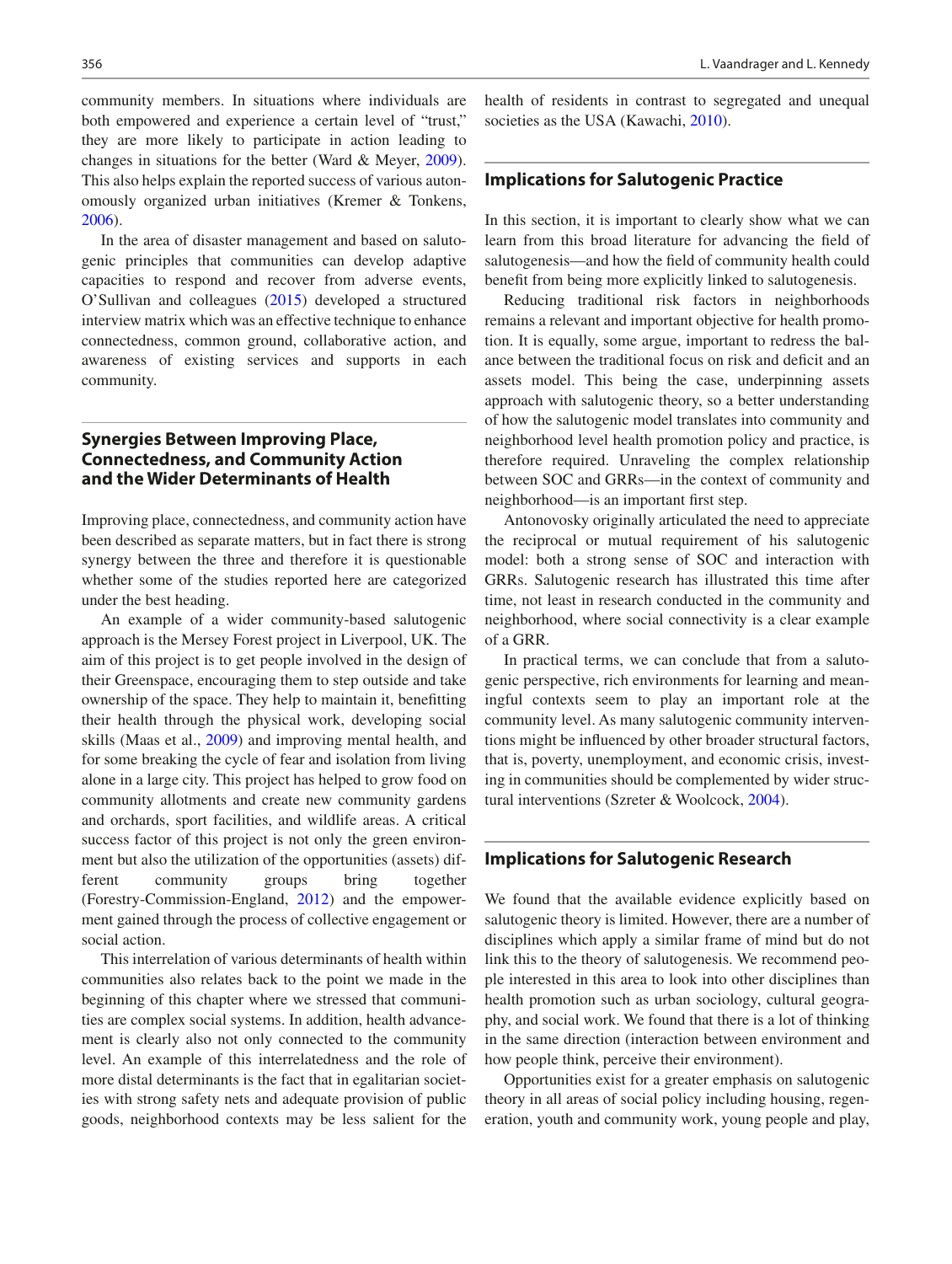community members. In situations where individuals are both empowered and experience a certain level of "trust," they are more likely to participate in action leading to changes in situations for the better (Ward & Meyer, [2009](#page-11-17)). This also helps explain the reported success of various autonomously organized urban initiatives (Kremer & Tonkens, [2006](#page-10-35)).

In the area of disaster management and based on salutogenic principles that communities can develop adaptive capacities to respond and recover from adverse events, O'Sullivan and colleagues ([2015\)](#page-10-36) developed a structured interview matrix which was an effective technique to enhance connectedness, common ground, collaborative action, and awareness of existing services and supports in each community.

# **Synergies Between Improving Place, Connectedness, and Community Action and the Wider Determinants of Health**

Improving place, connectedness, and community action have been described as separate matters, but in fact there is strong synergy between the three and therefore it is questionable whether some of the studies reported here are categorized under the best heading.

An example of a wider community-based salutogenic approach is the Mersey Forest project in Liverpool, UK. The aim of this project is to get people involved in the design of their Greenspace, encouraging them to step outside and take ownership of the space. They help to maintain it, beneftting their health through the physical work, developing social skills (Maas et al., [2009\)](#page-10-37) and improving mental health, and for some breaking the cycle of fear and isolation from living alone in a large city. This project has helped to grow food on community allotments and create new community gardens and orchards, sport facilities, and wildlife areas. A critical success factor of this project is not only the green environment but also the utilization of the opportunities (assets) different community groups bring together (Forestry-Commission-England, [2012\)](#page-10-38) and the empowerment gained through the process of collective engagement or social action.

This interrelation of various determinants of health within communities also relates back to the point we made in the beginning of this chapter where we stressed that communities are complex social systems. In addition, health advancement is clearly also not only connected to the community level. An example of this interrelatedness and the role of more distal determinants is the fact that in egalitarian societies with strong safety nets and adequate provision of public goods, neighborhood contexts may be less salient for the

health of residents in contrast to segregated and unequal societies as the USA (Kawachi, [2010\)](#page-10-8).

#### **Implications for Salutogenic Practice**

In this section, it is important to clearly show what we can learn from this broad literature for advancing the feld of salutogenesis—and how the feld of community health could beneft from being more explicitly linked to salutogenesis.

Reducing traditional risk factors in neighborhoods remains a relevant and important objective for health promotion. It is equally, some argue, important to redress the balance between the traditional focus on risk and deficit and an assets model. This being the case, underpinning assets approach with salutogenic theory, so a better understanding of how the salutogenic model translates into community and neighborhood level health promotion policy and practice, is therefore required. Unraveling the complex relationship between SOC and GRRs—in the context of community and neighborhood—is an important frst step.

Antonovosky originally articulated the need to appreciate the reciprocal or mutual requirement of his salutogenic model: both a strong sense of SOC and interaction with GRRs. Salutogenic research has illustrated this time after time, not least in research conducted in the community and neighborhood, where social connectivity is a clear example of a GRR.

In practical terms, we can conclude that from a salutogenic perspective, rich environments for learning and meaningful contexts seem to play an important role at the community level. As many salutogenic community interventions might be infuenced by other broader structural factors, that is, poverty, unemployment, and economic crisis, investing in communities should be complemented by wider structural interventions (Szreter & Woolcock, [2004](#page-11-9)).

#### **Implications for Salutogenic Research**

We found that the available evidence explicitly based on salutogenic theory is limited. However, there are a number of disciplines which apply a similar frame of mind but do not link this to the theory of salutogenesis. We recommend people interested in this area to look into other disciplines than health promotion such as urban sociology, cultural geography, and social work. We found that there is a lot of thinking in the same direction (interaction between environment and how people think, perceive their environment).

Opportunities exist for a greater emphasis on salutogenic theory in all areas of social policy including housing, regeneration, youth and community work, young people and play,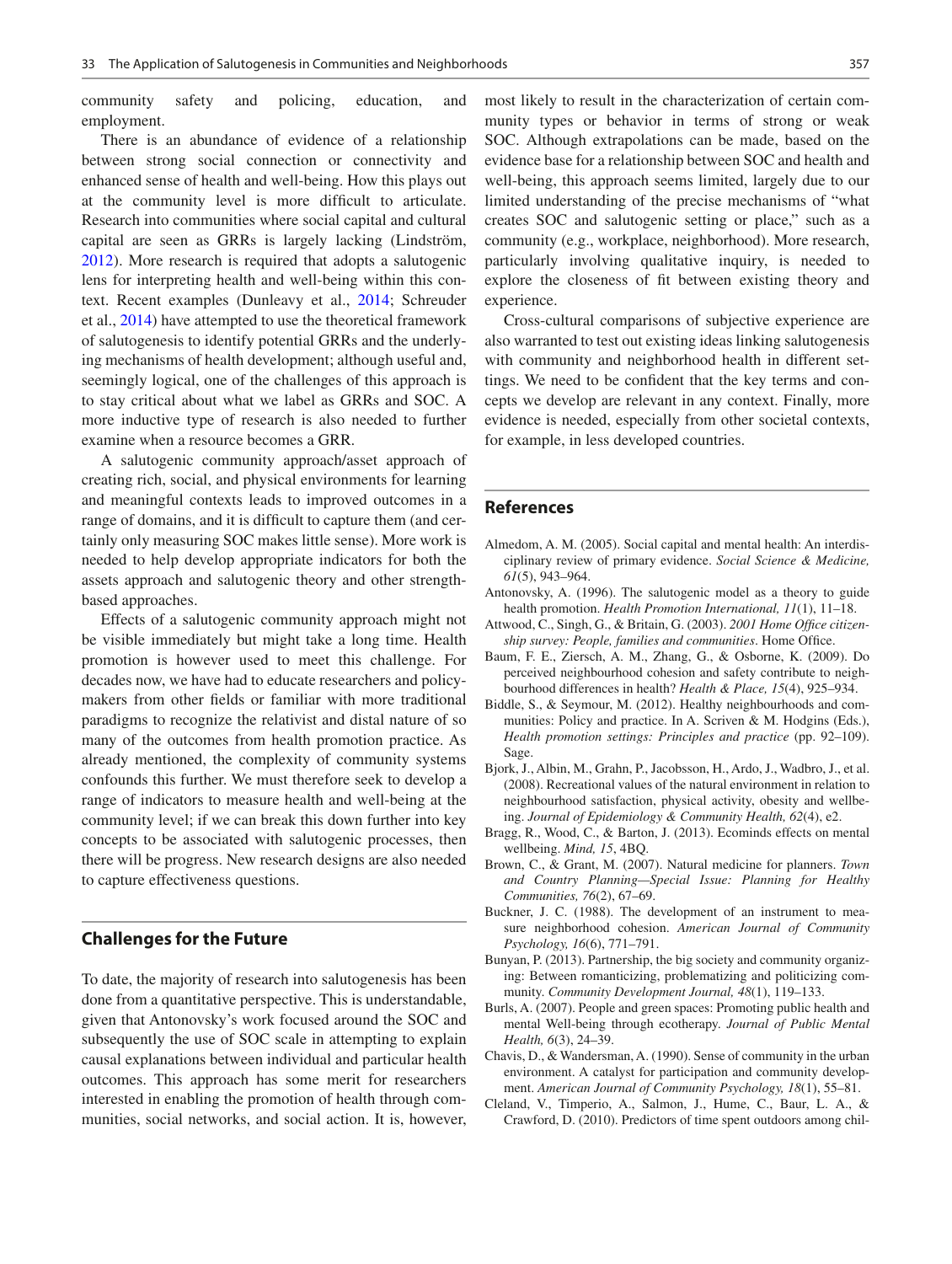community safety and policing, education, and employment.

There is an abundance of evidence of a relationship between strong social connection or connectivity and enhanced sense of health and well-being. How this plays out at the community level is more diffcult to articulate. Research into communities where social capital and cultural capital are seen as GRRs is largely lacking (Lindström, [2012](#page-10-39)). More research is required that adopts a salutogenic lens for interpreting health and well-being within this context. Recent examples (Dunleavy et al., [2014;](#page-10-40) Schreuder et al., [2014](#page-11-12)) have attempted to use the theoretical framework of salutogenesis to identify potential GRRs and the underlying mechanisms of health development; although useful and, seemingly logical, one of the challenges of this approach is to stay critical about what we label as GRRs and SOC. A more inductive type of research is also needed to further examine when a resource becomes a GRR.

A salutogenic community approach/asset approach of creating rich, social, and physical environments for learning and meaningful contexts leads to improved outcomes in a range of domains, and it is difficult to capture them (and certainly only measuring SOC makes little sense). More work is needed to help develop appropriate indicators for both the assets approach and salutogenic theory and other strengthbased approaches.

Effects of a salutogenic community approach might not be visible immediately but might take a long time. Health promotion is however used to meet this challenge. For decades now, we have had to educate researchers and policymakers from other felds or familiar with more traditional paradigms to recognize the relativist and distal nature of so many of the outcomes from health promotion practice. As already mentioned, the complexity of community systems confounds this further. We must therefore seek to develop a range of indicators to measure health and well-being at the community level; if we can break this down further into key concepts to be associated with salutogenic processes, then there will be progress. New research designs are also needed to capture effectiveness questions.

# **Challenges for the Future**

To date, the majority of research into salutogenesis has been done from a quantitative perspective. This is understandable, given that Antonovsky's work focused around the SOC and subsequently the use of SOC scale in attempting to explain causal explanations between individual and particular health outcomes. This approach has some merit for researchers interested in enabling the promotion of health through communities, social networks, and social action. It is, however,

most likely to result in the characterization of certain community types or behavior in terms of strong or weak SOC. Although extrapolations can be made, based on the evidence base for a relationship between SOC and health and well-being, this approach seems limited, largely due to our limited understanding of the precise mechanisms of "what creates SOC and salutogenic setting or place," such as a community (e.g., workplace, neighborhood). More research, particularly involving qualitative inquiry, is needed to explore the closeness of ft between existing theory and experience.

Cross-cultural comparisons of subjective experience are also warranted to test out existing ideas linking salutogenesis with community and neighborhood health in different settings. We need to be confdent that the key terms and concepts we develop are relevant in any context. Finally, more evidence is needed, especially from other societal contexts, for example, in less developed countries.

#### **References**

- <span id="page-9-8"></span>Almedom, A. M. (2005). Social capital and mental health: An interdisciplinary review of primary evidence. *Social Science & Medicine, 61*(5), 943–964.
- <span id="page-9-5"></span>Antonovsky, A. (1996). The salutogenic model as a theory to guide health promotion. *Health Promotion International, 11*(1), 11–18.
- <span id="page-9-3"></span>Attwood, C., Singh, G., & Britain, G. (2003). *2001 Home Offce citizenship survey: People, families and communities*. Home Offce.
- <span id="page-9-12"></span>Baum, F. E., Ziersch, A. M., Zhang, G., & Osborne, K. (2009). Do perceived neighbourhood cohesion and safety contribute to neighbourhood differences in health? *Health & Place, 15*(4), 925–934.
- <span id="page-9-0"></span>Biddle, S., & Seymour, M. (2012). Healthy neighbourhoods and communities: Policy and practice. In A. Scriven & M. Hodgins (Eds.), *Health promotion settings: Principles and practice* (pp. 92–109). Sage.
- <span id="page-9-7"></span>Bjork, J., Albin, M., Grahn, P., Jacobsson, H., Ardo, J., Wadbro, J., et al. (2008). Recreational values of the natural environment in relation to neighbourhood satisfaction, physical activity, obesity and wellbeing. *Journal of Epidemiology & Community Health, 62*(4), e2.
- <span id="page-9-9"></span>Bragg, R., Wood, C., & Barton, J. (2013). Ecominds effects on mental wellbeing. *Mind, 15*, 4BQ.
- <span id="page-9-11"></span>Brown, C., & Grant, M. (2007). Natural medicine for planners. *Town and Country Planning—Special Issue: Planning for Healthy Communities, 76*(2), 67–69.
- <span id="page-9-2"></span>Buckner, J. C. (1988). The development of an instrument to measure neighborhood cohesion. *American Journal of Community Psychology, 16*(6), 771–791.
- <span id="page-9-4"></span>Bunyan, P. (2013). Partnership, the big society and community organizing: Between romanticizing, problematizing and politicizing community. *Community Development Journal, 48*(1), 119–133.
- <span id="page-9-10"></span>Burls, A. (2007). People and green spaces: Promoting public health and mental Well-being through ecotherapy. *Journal of Public Mental Health, 6*(3), 24–39.
- <span id="page-9-1"></span>Chavis, D., & Wandersman, A. (1990). Sense of community in the urban environment. A catalyst for participation and community development. *American Journal of Community Psychology, 18*(1), 55–81.
- <span id="page-9-6"></span>Cleland, V., Timperio, A., Salmon, J., Hume, C., Baur, L. A., & Crawford, D. (2010). Predictors of time spent outdoors among chil-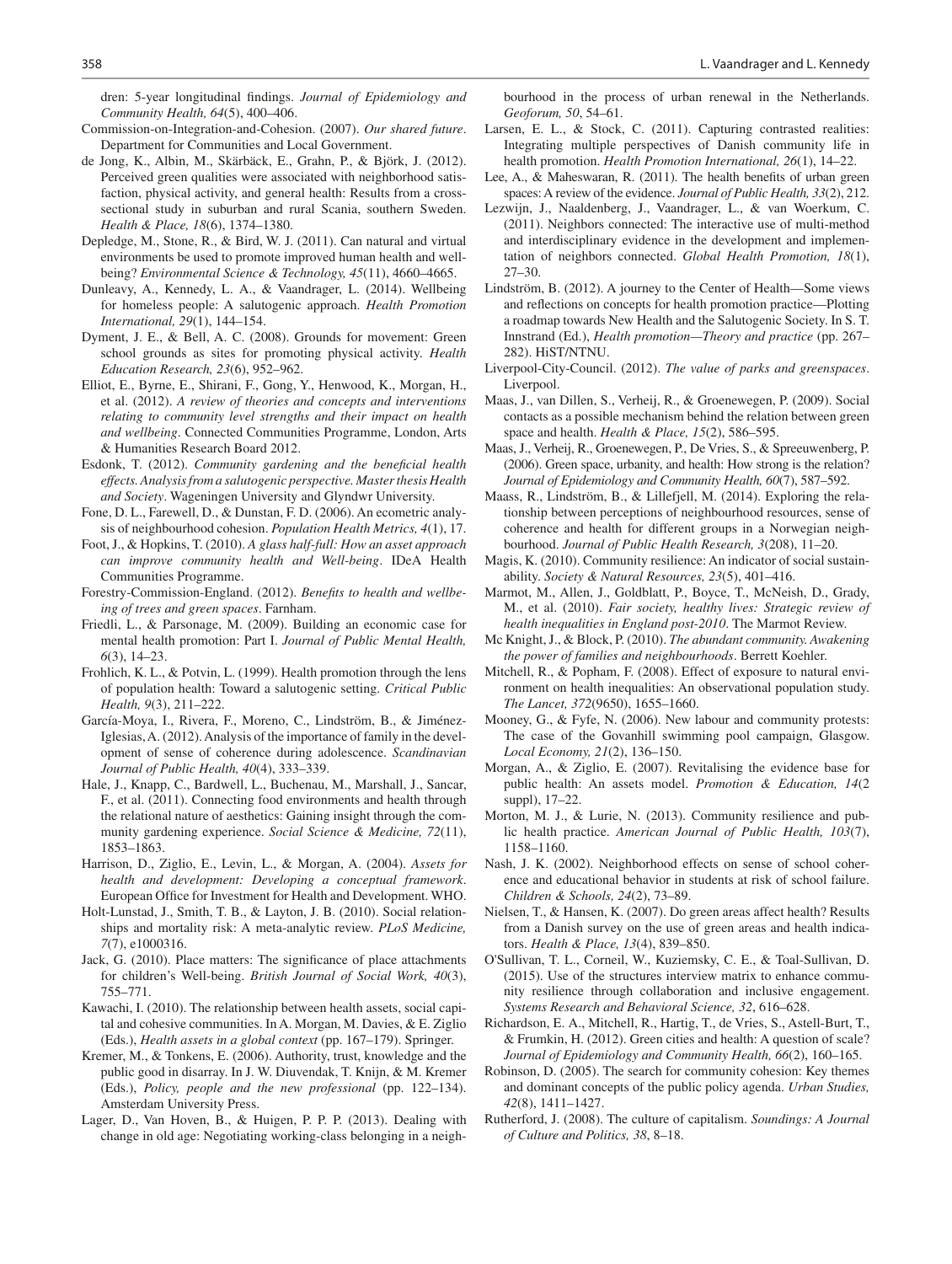dren: 5-year longitudinal fndings. *Journal of Epidemiology and Community Health, 64*(5), 400–406.

- <span id="page-10-3"></span>Commission-on-Integration-and-Cohesion. (2007). *Our shared future*. Department for Communities and Local Government.
- <span id="page-10-27"></span>de Jong, K., Albin, M., Skärbäck, E., Grahn, P., & Björk, J. (2012). Perceived green qualities were associated with neighborhood satisfaction, physical activity, and general health: Results from a crosssectional study in suburban and rural Scania, southern Sweden. *Health & Place, 18*(6), 1374–1380.
- <span id="page-10-21"></span>Depledge, M., Stone, R., & Bird, W. J. (2011). Can natural and virtual environments be used to promote improved human health and wellbeing? *Environmental Science & Technology, 45*(11), 4660–4665.
- <span id="page-10-40"></span>Dunleavy, A., Kennedy, L. A., & Vaandrager, L. (2014). Wellbeing for homeless people: A salutogenic approach. *Health Promotion International, 29*(1), 144–154.
- <span id="page-10-30"></span>Dyment, J. E., & Bell, A. C. (2008). Grounds for movement: Green school grounds as sites for promoting physical activity. *Health Education Research, 23*(6), 952–962.
- <span id="page-10-5"></span>Elliot, E., Byrne, E., Shirani, F., Gong, Y., Henwood, K., Morgan, H., et al. (2012). *A review of theories and concepts and interventions relating to community level strengths and their impact on health and wellbeing*. Connected Communities Programme, London, Arts & Humanities Research Board 2012.
- <span id="page-10-28"></span>Esdonk, T. (2012). *Community gardening and the benefcial health effects. Analysis from a salutogenic perspective. Master thesis Health and Society*. Wageningen University and Glyndwr University.
- <span id="page-10-13"></span>Fone, D. L., Farewell, D., & Dunstan, F. D. (2006). An ecometric analysis of neighbourhood cohesion. *Population Health Metrics, 4*(1), 17.
- <span id="page-10-11"></span>Foot, J., & Hopkins, T. (2010). *A glass half-full: How an asset approach can improve community health and Well-being*. IDeA Health Communities Programme.
- <span id="page-10-38"></span>Forestry-Commission-England. (2012). *Benefts to health and wellbeing of trees and green spaces*. Farnham.
- <span id="page-10-26"></span>Friedli, L., & Parsonage, M. (2009). Building an economic case for mental health promotion: Part I. *Journal of Public Mental Health, 6*(3), 14–23.
- <span id="page-10-4"></span>Frohlich, K. L., & Potvin, L. (1999). Health promotion through the lens of population health: Toward a salutogenic setting. *Critical Public Health, 9*(3), 211–222.
- <span id="page-10-12"></span>García-Moya, I., Rivera, F., Moreno, C., Lindström, B., & Jiménez-Iglesias, A. (2012). Analysis of the importance of family in the development of sense of coherence during adolescence. *Scandinavian Journal of Public Health, 40*(4), 333–339.
- <span id="page-10-33"></span>Hale, J., Knapp, C., Bardwell, L., Buchenau, M., Marshall, J., Sancar, F., et al. (2011). Connecting food environments and health through the relational nature of aesthetics: Gaining insight through the community gardening experience. *Social Science & Medicine, 72*(11), 1853–1863.
- <span id="page-10-9"></span>Harrison, D., Ziglio, E., Levin, L., & Morgan, A. (2004). *Assets for health and development: Developing a conceptual framework*. European Office for Investment for Health and Development. WHO.
- <span id="page-10-25"></span>Holt-Lunstad, J., Smith, T. B., & Layton, J. B. (2010). Social relationships and mortality risk: A meta-analytic review. *PLoS Medicine, 7*(7), e1000316.
- <span id="page-10-15"></span>Jack, G. (2010). Place matters: The signifcance of place attachments for children's Well-being. *British Journal of Social Work, 40*(3), 755–771.
- <span id="page-10-8"></span>Kawachi, I. (2010). The relationship between health assets, social capital and cohesive communities. In A. Morgan, M. Davies, & E. Ziglio (Eds.), *Health assets in a global context* (pp. 167–179). Springer.
- <span id="page-10-35"></span>Kremer, M., & Tonkens, E. (2006). Authority, trust, knowledge and the public good in disarray. In J. W. Diuvendak, T. Knijn, & M. Kremer (Eds.), *Policy, people and the new professional* (pp. 122–134). Amsterdam University Press.
- <span id="page-10-16"></span>Lager, D., Van Hoven, B., & Huigen, P. P. P. (2013). Dealing with change in old age: Negotiating working-class belonging in a neigh-

bourhood in the process of urban renewal in the Netherlands. *Geoforum, 50*, 54–61.

- <span id="page-10-7"></span>Larsen, E. L., & Stock, C. (2011). Capturing contrasted realities: Integrating multiple perspectives of Danish community life in health promotion. *Health Promotion International, 26*(1), 14–22.
- <span id="page-10-14"></span>Lee, A., & Maheswaran, R. (2011). The health benefts of urban green spaces: A review of the evidence. *Journal of Public Health, 33*(2), 212.
- <span id="page-10-31"></span>Lezwijn, J., Naaldenberg, J., Vaandrager, L., & van Woerkum, C. (2011). Neighbors connected: The interactive use of multi-method and interdisciplinary evidence in the development and implementation of neighbors connected. *Global Health Promotion, 18*(1), 27–30.
- <span id="page-10-39"></span>Lindström, B. (2012). A journey to the Center of Health—Some views and refections on concepts for health promotion practice—Plotting a roadmap towards New Health and the Salutogenic Society. In S. T. Innstrand (Ed.), *Health promotion—Theory and practice* (pp. 267– 282). HiST/NTNU.
- <span id="page-10-29"></span>Liverpool-City-Council. (2012). *The value of parks and greenspaces*. Liverpool.
- <span id="page-10-37"></span>Maas, J., van Dillen, S., Verheij, R., & Groenewegen, P. (2009). Social contacts as a possible mechanism behind the relation between green space and health. *Health & Place, 15*(2), 586–595.
- <span id="page-10-22"></span>Maas, J., Verheij, R., Groenewegen, P., De Vries, S., & Spreeuwenberg, P. (2006). Green space, urbanity, and health: How strong is the relation? *Journal of Epidemiology and Community Health, 60*(7), 587–592.
- <span id="page-10-17"></span>Maass, R., Lindström, B., & Lillefjell, M. (2014). Exploring the relationship between perceptions of neighbourhood resources, sense of coherence and health for different groups in a Norwegian neighbourhood. *Journal of Public Health Research, 3*(208), 11–20.
- <span id="page-10-24"></span>Magis, K. (2010). Community resilience: An indicator of social sustainability. *Society & Natural Resources, 23*(5), 401–416.
- <span id="page-10-23"></span>Marmot, M., Allen, J., Goldblatt, P., Boyce, T., McNeish, D., Grady, M., et al. (2010). *Fair society, healthy lives: Strategic review of health inequalities in England post-2010*. The Marmot Review.
- <span id="page-10-0"></span>Mc Knight, J., & Block, P. (2010). *The abundant community. Awakening the power of families and neighbourhoods*. Berrett Koehler.
- <span id="page-10-18"></span>Mitchell, R., & Popham, F. (2008). Effect of exposure to natural environment on health inequalities: An observational population study. *The Lancet, 372*(9650), 1655–1660.
- <span id="page-10-34"></span>Mooney, G., & Fyfe, N. (2006). New labour and community protests: The case of the Govanhill swimming pool campaign, Glasgow. *Local Economy, 21*(2), 136–150.
- <span id="page-10-10"></span>Morgan, A., & Ziglio, E. (2007). Revitalising the evidence base for public health: An assets model. *Promotion & Education, 14*(2 suppl), 17–22.
- <span id="page-10-6"></span>Morton, M. J., & Lurie, N. (2013). Community resilience and public health practice. *American Journal of Public Health, 103*(7), 1158–1160.
- <span id="page-10-32"></span>Nash, J. K. (2002). Neighborhood effects on sense of school coherence and educational behavior in students at risk of school failure. *Children & Schools, 24*(2), 73–89.
- <span id="page-10-20"></span>Nielsen, T., & Hansen, K. (2007). Do green areas affect health? Results from a Danish survey on the use of green areas and health indicators. *Health & Place, 13*(4), 839–850.
- <span id="page-10-36"></span>O'Sullivan, T. L., Corneil, W., Kuziemsky, C. E., & Toal-Sullivan, D. (2015). Use of the structures interview matrix to enhance community resilience through collaboration and inclusive engagement. *Systems Research and Behavioral Science, 32*, 616–628.
- <span id="page-10-19"></span>Richardson, E. A., Mitchell, R., Hartig, T., de Vries, S., Astell-Burt, T., & Frumkin, H. (2012). Green cities and health: A question of scale? *Journal of Epidemiology and Community Health, 66*(2), 160–165.
- <span id="page-10-2"></span>Robinson, D. (2005). The search for community cohesion: Key themes and dominant concepts of the public policy agenda. *Urban Studies, 42*(8), 1411–1427.
- <span id="page-10-1"></span>Rutherford, J. (2008). The culture of capitalism. *Soundings: A Journal of Culture and Politics, 38*, 8–18.